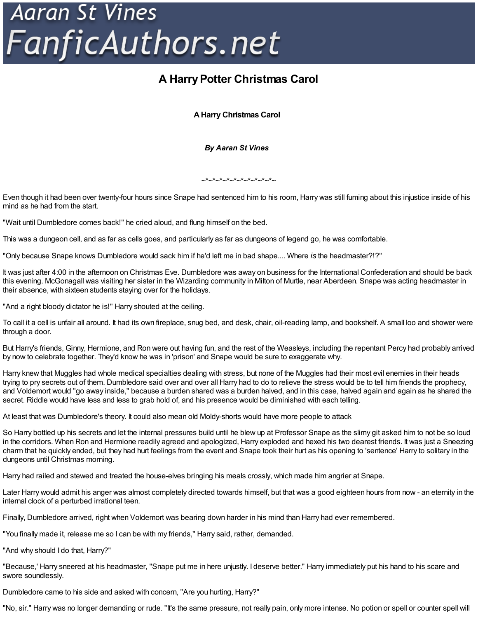## **Aaran St Vines** FanficAuthors.net

## **A HarryPotter Christmas Carol**

**AHarry Christmas Carol**

*By Aaran St Vines*

 $x^*x^*x^*x^*x^*x^*x^*x^*x^*x^*x^*$ 

Even though it had been over twenty-four hours since Snape had sentenced him to his room, Harry was still fuming about this injustice inside of his mind as he had from the start.

"Wait until Dumbledore comes back!" he cried aloud, and flung himself on the bed.

This was a dungeon cell, and as far as cells goes, and particularly as far as dungeons of legend go, he was comfortable.

"Only because Snape knows Dumbledore would sack him if he'd left me in bad shape.... Where *is* the headmaster?!?"

It was just after 4:00 in the afternoon on Christmas Eve. Dumbledore was away on business for the International Confederation and should be back this evening. McGonagall was visiting her sister in the Wizarding community in Milton of Murtle, near Aberdeen. Snape was acting headmaster in their absence, with sixteen students staying over for the holidays.

"And a right bloody dictator he is!" Harry shouted at the ceiling.

To call it a cell is unfair all around. It had its own fireplace, snug bed, and desk, chair, oil-reading lamp, and bookshelf. A small loo and shower were through a door.

But Harry's friends, Ginny, Hermione, and Ron were out having fun, and the rest of the Weasleys, including the repentant Percy had probably arrived by now to celebrate together. They'd know he was in 'prison' and Snape would be sure to exaggerate why.

Harry knew that Muggles had whole medical specialties dealing with stress, but none of the Muggles had their most evil enemies in their heads trying to pry secrets out of them. Dumbledore said over and over all Harry had to do to relieve the stress would be to tell him friends the prophecy, and Voldemort would "go away inside," because a burden shared was a burden halved, and in this case, halved again and again as he shared the secret. Riddle would have less and less to grab hold of, and his presence would be diminished with each telling.

At least that was Dumbledore's theory. It could also mean old Moldy-shorts would have more people to attack

So Harry bottled up his secrets and let the internal pressures build until he blew up at Professor Snape as the slimy git asked him to not be so loud in the corridors. When Ron and Hermione readily agreed and apologized, Harry exploded and hexed his two dearest friends. It was just a Sneezing charm that he quickly ended, but they had hurt feelings from the event and Snape took their hurt as his opening to 'sentence' Harry to solitary in the dungeons until Christmas morning.

Harry had railed and stewed and treated the house-elves bringing his meals crossly, which made him angrier at Snape.

Later Harry would admit his anger was almost completely directed towards himself, but that was a good eighteen hours from now - an eternity in the internal clock of a perturbed irrational teen.

Finally, Dumbledore arrived, right when Voldemort was bearing down harder in his mind than Harry had ever remembered.

"You finally made it, release me so I can be with my friends," Harry said, rather, demanded.

"And why should I do that, Harry?"

"Because,' Harry sneered at his headmaster, "Snape put me in here unjustly. I deserve better." Harry immediately put his hand to his scare and swore soundlessly.

Dumbledore came to his side and asked with concern, "Are you hurting, Harry?"

"No, sir." Harry was no longer demanding or rude. "It's the same pressure, not really pain, only more intense. No potion or spell or counter spell will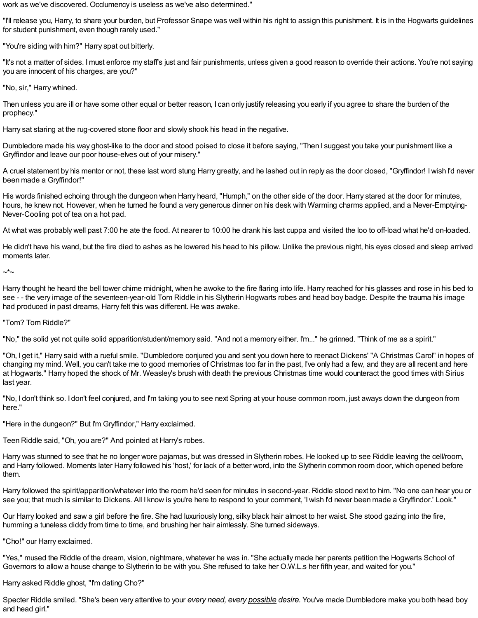work as we've discovered. Occlumency is useless as we've also determined."

"I'll release you, Harry, to share your burden, but Professor Snape was well within his right to assign this punishment. It is in the Hogwarts guidelines for student punishment, even though rarely used."

"You're siding with him?" Harry spat out bitterly.

"It's not a matter of sides. Imust enforce my staff's just and fair punishments, unless given a good reason to override their actions. You're not saying you are innocent of his charges, are you?"

"No, sir," Harry whined.

Then unless you are ill or have some other equal or better reason, I can only justify releasing you early if you agree to share the burden of the prophecy."

Harry sat staring at the rug-covered stone floor and slowly shook his head in the negative.

Dumbledore made his way ghost-like to the door and stood poised to close it before saying, "Then I suggest you take your punishment like a Gryffindor and leave our poor house-elves out of your misery."

A cruel statement by his mentor or not, these last word stung Harry greatly, and he lashed out in reply as the door closed, "Gryffindor! Iwish I'd never been made a Gryffindor!"

His words finished echoing through the dungeon when Harry heard, "Humph," on the other side of the door. Harry stared at the door for minutes, hours, he knew not. However, when he turned he found a very generous dinner on his desk with Warming charms applied, and a Never-Emptying-Never-Cooling pot of tea on a hot pad.

At what was probably well past 7:00 he ate the food. At nearer to 10:00 he drank his last cuppa and visited the loo to off-load what he'd on-loaded.

He didn't have his wand, but the fire died to ashes as he lowered his head to his pillow. Unlike the previous night, his eyes closed and sleep arrived moments later.

~\*~

Harry thought he heard the bell tower chime midnight, when he awoke to the fire flaring into life. Harry reached for his glasses and rose in his bed to see - - the very image of the seventeen-year-old Tom Riddle in his Slytherin Hogwarts robes and head boy badge. Despite the trauma his image had produced in past dreams, Harry felt this was different. He was awake.

"Tom? Tom Riddle?"

"No," the solid yet not quite solid apparition/student/memory said. "And not a memory either. I'm..." he grinned. "Think of me as a spirit."

"Oh, I get it," Harry said with a rueful smile. "Dumbledore conjured you and sent you down here to reenact Dickens' "A Christmas Carol" in hopes of changing my mind. Well, you can't take me to good memories of Christmas too far in the past, I've only had a few, and they are all recent and here at Hogwarts." Harry hoped the shock of Mr. Weasley's brush with death the previous Christmas time would counteract the good times with Sirius last year.

"No, I don't think so. I don't feel conjured, and I'm taking you to see next Spring at your house common room, just aways down the dungeon from here."

"Here in the dungeon?" But I'm Gryffindor," Harry exclaimed.

Teen Riddle said, "Oh, you are?" And pointed at Harry's robes.

Harry was stunned to see that he no longer wore pajamas, but was dressed in Slytherin robes. He looked up to see Riddle leaving the cell/room, and Harry followed. Moments later Harry followed his 'host,' for lack of a better word, into the Slytherin common room door, which opened before them.

Harry followed the spirit/apparition/whatever into the room he'd seen for minutes in second-year. Riddle stood next to him. "No one can hear you or see you; that much is similar to Dickens. All I know is you're here to respond to your comment, 'Iwish I'd never been made a Gryffindor.' Look."

Our Harry looked and saw a girl before the fire. She had luxuriously long, silky black hair almost to her waist. She stood gazing into the fire, humming a tuneless diddy from time to time, and brushing her hair aimlessly. She turned sideways.

"Cho!" our Harry exclaimed.

"Yes," mused the Riddle of the dream, vision, nightmare, whatever he was in. "She actually made her parents petition the Hogwarts School of Governors to allow a house change to Slytherin to be with you. She refused to take her O.W.L.s her fifth year, and waited for you."

Harry asked Riddle ghost, "I'm dating Cho?"

Specter Riddle smiled. "She's been very attentive to your *every need, every possible desire.* You've made Dumbledore make you both head boy and head girl."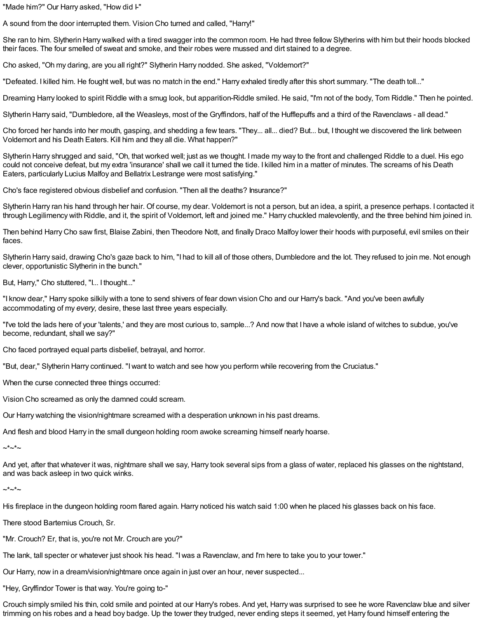"Made him?" Our Harry asked, "How did I-"

A sound from the door interrupted them. Vision Cho turned and called, "Harry!"

She ran to him. Slytherin Harry walked with a tired swagger into the common room. He had three fellow Slytherins with him but their hoods blocked their faces. The four smelled of sweat and smoke, and their robes were mussed and dirt stained to a degree.

Cho asked, "Oh my daring, are you all right?" Slytherin Harry nodded. She asked, "Voldemort?"

"Defeated. I killed him. He fought well, but was no match in the end." Harry exhaled tiredly after this short summary. "The death toll..."

Dreaming Harry looked to spirit Riddle with a smug look, but apparition-Riddle smiled. He said, "I'm not of the body, Tom Riddle." Then he pointed.

Slytherin Harry said, "Dumbledore, all the Weasleys, most of the Gryffindors, half of the Hufflepuffs and a third of the Ravenclaws - all dead."

Cho forced her hands into her mouth, gasping, and shedding a few tears. "They... all... died? But... but, I thought we discovered the link between Voldemort and his Death Eaters. Kill him and they all die. What happen?"

Slytherin Harry shrugged and said, "Oh, that worked well; just as we thought. Imade my way to the front and challenged Riddle to a duel. His ego could not conceive defeat, but my extra 'insurance' shall we call it turned the tide. I killed him in a matter of minutes. The screams of his Death Eaters, particularly Lucius Malfoy and Bellatrix Lestrange were most satisfying."

Cho's face registered obvious disbelief and confusion. "Then all the deaths? Insurance?"

Slytherin Harry ran his hand through her hair. Of course, my dear. Voldemort is not a person, but an idea, a spirit, a presence perhaps. I contacted it through Legilimency with Riddle, and it, the spirit of Voldemort, left and joined me." Harry chuckled malevolently, and the three behind him joined in.

Then behind Harry Cho saw first, Blaise Zabini, then Theodore Nott, and finally Draco Malfoy lower their hoods with purposeful, evil smiles on their faces.

Slytherin Harry said, drawing Cho's gaze back to him, "I had to kill all of those others, Dumbledore and the lot. They refused to join me. Not enough clever, opportunistic Slytherin in the bunch."

But, Harry," Cho stuttered, "I... I thought..."

"I know dear," Harry spoke silkily with a tone to send shivers of fear down vision Cho and our Harry's back. "And you've been awfully accommodating of my *every,* desire, these last three years especially.

"I've told the lads here of your 'talents,' and they are most curious to, sample...? And now that I have a whole island of witches to subdue, you've become, redundant, shall we say?"

Cho faced portrayed equal parts disbelief, betrayal, and horror.

"But, dear," Slytherin Harry continued. "Iwant to watch and see how you perform while recovering from the Cruciatus."

When the curse connected three things occurred:

Vision Cho screamed as only the damned could scream.

Our Harry watching the vision/nightmare screamed with a desperation unknown in his past dreams.

And flesh and blood Harry in the small dungeon holding room awoke screaming himself nearly hoarse.

 $-*-*-$ 

And yet, after that whatever it was, nightmare shall we say, Harry took several sips from a glass of water, replaced his glasses on the nightstand, and was back asleep in two quick winks.

~\*~\*~

His fireplace in the dungeon holding room flared again. Harry noticed his watch said 1:00 when he placed his glasses back on his face.

There stood Bartemius Crouch, Sr.

"Mr. Crouch? Er, that is, you're not Mr. Crouch are you?"

The lank, tall specter or whatever just shook his head. "Iwas a Ravenclaw, and I'm here to take you to your tower."

Our Harry, now in a dream/vision/nightmare once again in just over an hour, never suspected...

"Hey, Gryffindor Tower is that way. You're going to-"

Crouch simply smiled his thin, cold smile and pointed at our Harry's robes. And yet, Harry was surprised to see he wore Ravenclaw blue and silver trimming on his robes and a head boy badge. Up the tower they trudged, never ending steps it seemed, yet Harry found himself entering the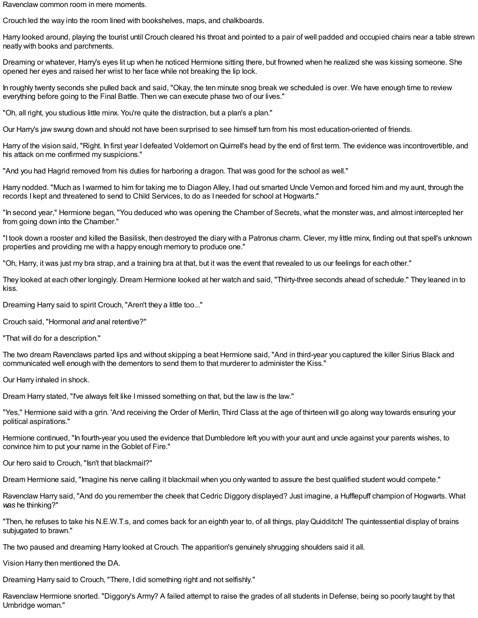Ravenclaw common room in mere moments.

Crouch led the way into the room lined with bookshelves, maps, and chalkboards.

Harry looked around, playing the tourist until Crouch cleared his throat and pointed to a pair of well padded and occupied chairs near a table strewn neatly with books and parchments.

Dreaming or whatever, Harry's eyes lit up when he noticed Hermione sitting there, but frowned when he realized she was kissing someone. She opened her eyes and raised her wrist to her face while not breaking the lip lock.

In roughly twenty seconds she pulled back and said, "Okay, the ten minute snog break we scheduled is over. We have enough time to review everything before going to the Final Battle. Then we can execute phase two of our lives."

"Oh, all right, you studious little minx. You're quite the distraction, but a plan's a plan."

Our Harry's jaw swung down and should not have been surprised to see himself turn from his most education-oriented of friends.

Harry of the vision said, "Right. In first year I defeated Voldemort on Quirrell's head by the end of first term. The evidence was incontrovertible, and his attack on me confirmed my suspicions."

"And you had Hagrid removed from his duties for harboring a dragon. That was good for the school as well."

Harry nodded. "Much as Iwarmed to him for taking me to Diagon Alley, I had out smarted Uncle Vernon and forced him and my aunt, through the records I kept and threatened to send to Child Services, to do as I needed for school at Hogwarts."

"In second year," Hermione began, "You deduced who was opening the Chamber of Secrets, what the monster was, and almost intercepted her from going down into the Chamber."

"I took down a rooster and killed the Basilisk, then destroyed the diary with a Patronus charm. Clever, my little minx, finding out that spell's unknown properties and providing me with a happy enough memory to produce one."

"Oh, Harry, it was just my bra strap, and a training bra at that, but it was the event that revealed to us our feelings for each other."

They looked at each other longingly. Dream Hermione looked at her watch and said, "Thirty-three seconds ahead of schedule." They leaned in to kiss.

Dreaming Harry said to spirit Crouch, "Aren't they a little too..."

Crouch said, "Hormonal *and* anal retentive?"

"That will do for a description."

The two dream Ravenclaws parted lips and without skipping a beat Hermione said, "And in third-year you captured the killer Sirius Black and communicated well enough with the dementors to send them to that murderer to administer the Kiss."

Our Harry inhaled in shock.

Dream Harry stated, "I've always felt like Imissed something on that, but the law is the law."

"Yes," Hermione said with a grin. 'And receiving the Order of Merlin, Third Class at the age of thirteen will go along way towards ensuring your political aspirations."

Hermione continued, "In fourth-year you used the evidence that Dumbledore left you with your aunt and uncle against your parents wishes, to convince him to put your name in the Goblet of Fire."

Our hero said to Crouch, "Isn't that blackmail?"

Dream Hermione said, "Imagine his nerve calling it blackmail when you only wanted to assure the best qualified student would compete."

Ravenclaw Harry said, "And do you remember the cheek that Cedric Diggory displayed? Just imagine, a Hufflepuff champion of Hogwarts. What *was* he thinking?"

"Then, he refuses to take his N.E.W.T.s, and comes back for an eighth year to, of all things, playQuidditch! The quintessential display of brains subjugated to brawn."

The two paused and dreaming Harry looked at Crouch. The apparition's genuinely shrugging shoulders said it all.

Vision Harry then mentioned the DA.

Dreaming Harry said to Crouch, "There, I did something right and not selfishly."

Ravenclaw Hermione snorted. "Diggory's Army? A failed attempt to raise the grades of all students in Defense, being so poorly taught by that Umbridge woman."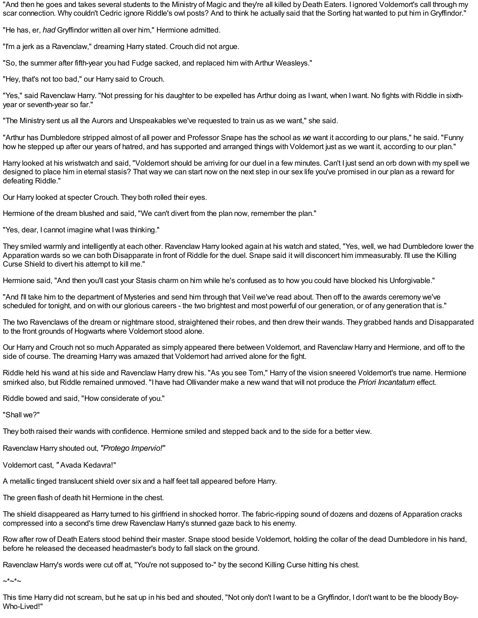"And then he goes and takes several students to the Ministry of Magic and they're all killed by Death Eaters. I ignored Voldemort's call through my scar connection. Why couldn't Cedric ignore Riddle's owl posts? And to think he actually said that the Sorting hat wanted to put him inGryffindor."

"He has, er, *had* Gryffindor written all over him," Hermione admitted.

"I'm a jerk as a Ravenclaw," dreaming Harry stated. Crouch did not argue.

"So, the summer after fifth-year you had Fudge sacked, and replaced him with Arthur Weasleys."

"Hey, that's not too bad," our Harry said to Crouch.

"Yes," said Ravenclaw Harry. "Not pressing for his daughter to be expelled has Arthur doing as Iwant, when Iwant. No fights with Riddle in sixthyear or seventh-year so far."

"The Ministry sent us all the Aurors and Unspeakables we've requested to train us as we want," she said.

"Arthur has Dumbledore stripped almost of all power and Professor Snape has the school as *we* want it according to our plans," he said. "Funny how he stepped up after our years of hatred, and has supported and arranged things with Voldemort just as we want it, according to our plan."

Harry looked at his wristwatch and said, "Voldemort should be arriving for our duel in a few minutes. Can't I just send an orb down with my spell we designed to place him in eternal stasis? That way we can start now on the next step in our sex life you've promised in our plan as a reward for defeating Riddle."

Our Harry looked at specter Crouch. They both rolled their eyes.

Hermione of the dream blushed and said, "We can't divert from the plan now, remember the plan."

"Yes, dear, I cannot imagine what Iwas thinking."

They smiled warmly and intelligently at each other. Ravenclaw Harry looked again at his watch and stated, "Yes, well, we had Dumbledore lower the Apparation wards so we can both Disapparate in front of Riddle for the duel. Snape said it will disconcert him immeasurably. I'll use the Killing Curse Shield to divert his attempt to kill me."

Hermione said, "And then you'll cast your Stasis charm on him while he's confused as to how you could have blocked his Unforgivable."

"And I'll take him to the department of Mysteries and send him through that Veil we've read about. Then off to the awards ceremony we've scheduled for tonight, and on with our glorious careers - the two brightest and most powerful of our generation, or of any generation that is."

The two Ravenclaws of the dream or nightmare stood, straightened their robes, and then drew their wands. They grabbed hands and Disapparated to the front grounds of Hogwarts where Voldemort stood alone.

Our Harry and Crouch not so much Apparated as simply appeared there between Voldemort, and Ravenclaw Harry and Hermione, and off to the side of course. The dreaming Harry was amazed that Voldemort had arrived alone for the fight.

Riddle held his wand at his side and Ravenclaw Harry drew his. "As you see Tom," Harry of the vision sneered Voldemort's true name. Hermione smirked also, but Riddle remained unmoved. "I have had Ollivander make a new wand that will not produce the *Priori Incantatum* effect.

Riddle bowed and said, "How considerate of you."

"Shall we?"

They both raised their wands with confidence. Hermione smiled and stepped back and to the side for a better view.

Ravenclaw Harry shouted out, *"Protego Impervio!"*

Voldemort cast, *"* Avada Kedavra!"

A metallic tinged translucent shield over six and a half feet tall appeared before Harry.

The green flash of death hit Hermione in the chest.

The shield disappeared as Harry turned to his girlfriend in shocked horror. The fabric-ripping sound of dozens and dozens of Apparation cracks compressed into a second's time drew Ravenclaw Harry's stunned gaze back to his enemy.

Row after row of Death Eaters stood behind their master. Snape stood beside Voldemort, holding the collar of the dead Dumbledore in his hand, before he released the deceased headmaster's body to fall slack on the ground.

Ravenclaw Harry's words were cut off at, "You're not supposed to-" by the second Killing Curse hitting his chest.

 $-$ \* $-$ \* $-$ 

This time Harry did not scream, but he sat up in his bed and shouted, "Not only don't Iwant to be a Gryffindor, I don't want to be the bloody Boy-Who-Lived!"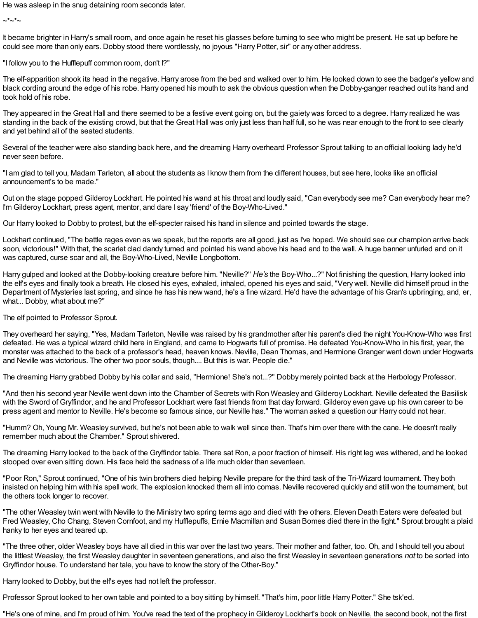He was asleep in the snug detaining room seconds later.

 $-*-*-$ 

It became brighter in Harry's small room, and once again he reset his glasses before turning to see who might be present. He sat up before he could see more than only ears. Dobby stood there wordlessly, no joyous "Harry Potter, sir" or any other address.

"I follow you to the Hufflepuff common room, don't I?"

The elf-apparition shook its head in the negative. Harry arose from the bed and walked over to him. He looked down to see the badger's yellow and black cording around the edge of his robe. Harry opened his mouth to ask the obvious question when the Dobby-ganger reached out its hand and took hold of his robe.

They appeared in the Great Hall and there seemed to be a festive event going on, but the gaiety was forced to a degree. Harry realized he was standing in the back of the existing crowd, but that the Great Hall was only just less than half full, so he was near enough to the front to see clearly and yet behind all of the seated students.

Several of the teacher were also standing back here, and the dreaming Harry overheard Professor Sprout talking to an official looking lady he'd never seen before.

"I am glad to tell you, Madam Tarleton, all about the students as I know them from the different houses, but see here, looks like an official announcement's to be made."

Out on the stage popped Gilderoy Lockhart. He pointed his wand at his throat and loudly said, "Can everybody see me? Can everybody hear me? I'm Gilderoy Lockhart, press agent, mentor, and dare I say 'friend' of the Boy-Who-Lived."

Our Harry looked to Dobby to protest, but the elf-specter raised his hand in silence and pointed towards the stage.

Lockhart continued, "The battle rages even as we speak, but the reports are all good, just as I've hoped. We should see our champion arrive back soon, victorious!" With that, the scarlet clad dandy turned and pointed his wand above his head and to the wall. A huge banner unfurled and on it was captured, curse scar and all, the Boy-Who-Lived, Neville Longbottom.

Harry gulped and looked at the Dobby-looking creature before him. "Neville?" *He's* the Boy-Who...?" Not finishing the question, Harry looked into the elf's eyes and finally took a breath. He closed his eyes, exhaled, inhaled, opened his eyes and said, "Very well. Neville did himself proud in the Department of Mysteries last spring, and since he has his new wand, he's a fine wizard. He'd have the advantage of his Gran's upbringing, and, er, what... Dobby, what about me?"

The elf pointed to Professor Sprout.

They overheard her saying, "Yes, Madam Tarleton, Neville was raised by his grandmother after his parent's died the night You-Know-Who was first defeated. He was a typical wizard child here in England, and came to Hogwarts full of promise. He defeated You-Know-Who in his first, year, the monster was attached to the back of a professor's head, heaven knows. Neville, Dean Thomas, and Hermione Granger went down under Hogwarts and Neville was victorious. The other two poor souls, though.... But this is war. People die."

The dreaming Harry grabbed Dobby by his collar and said, "Hermione! She's not...?" Dobby merely pointed back at the Herbology Professor.

"And then his second year Neville went down into the Chamber of Secrets with Ron Weasley and Gilderoy Lockhart. Neville defeated the Basilisk with the Sword of Gryffindor, and he and Professor Lockhart were fast friends from that day forward. Gilderoy even gave up his own career to be press agent and mentor to Neville. He's become so famous since, our Neville has." The woman asked a question our Harry could not hear.

"Humm? Oh, Young Mr. Weasley survived, but he's not been able to walk well since then. That's him over there with the cane. He doesn't really remember much about the Chamber." Sprout shivered.

The dreaming Harry looked to the back of the Gryffindor table. There sat Ron, a poor fraction of himself. His right leg was withered, and he looked stooped over even sitting down. His face held the sadness of a life much older than seventeen.

"Poor Ron," Sprout continued, "One of his twin brothers died helping Neville prepare for the third task of the Tri-Wizard tournament. They both insisted on helping him with his spell work. The explosion knocked them all into comas. Neville recovered quickly and still won the tournament, but the others took longer to recover.

"The other Weasley twin went with Neville to the Ministry two spring terms ago and died with the others. Eleven Death Eaters were defeated but Fred Weasley, Cho Chang, Steven Cornfoot, and my Hufflepuffs, Ernie Macmillan and Susan Bomes died there in the fight." Sprout brought a plaid hanky to her eyes and teared up.

"The three other, older Weasley boys have all died in this war over the last two years. Their mother and father, too. Oh, and I should tell you about the littlest Weasley, the first Weasley daughter in seventeen generations, and also the first Weasley in seventeen generations *not* to be sorted into Gryffindor house. To understand her tale, you have to know the story of the Other-Boy."

Harry looked to Dobby, but the elf's eyes had not left the professor.

Professor Sprout looked to her own table and pointed to a boy sitting by himself. "That's him, poor little Harry Potter." She tsk'ed.

"He's one of mine, and I'm proud of him. You've read the text of the prophecy inGilderoy Lockhart's book on Neville, the second book, not the first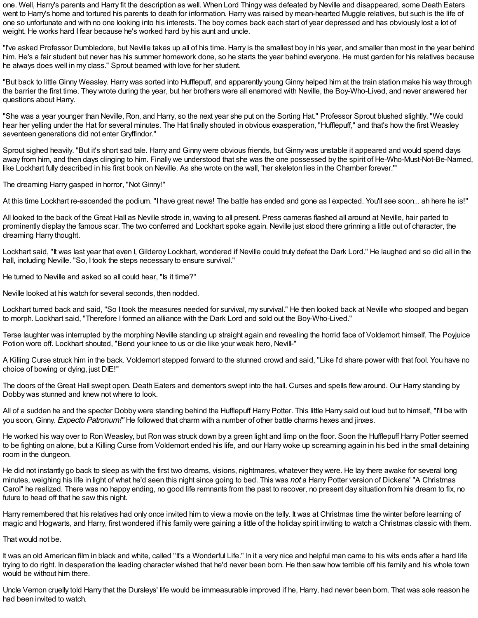one. Well, Harry's parents and Harry fit the description as well. When Lord Thingy was defeated by Neville and disappeared, some Death Eaters went to Harry's home and tortured his parents to death for information. Harry was raised by mean-hearted Muggle relatives, but such is the life of one so unfortunate and with no one looking into his interests. The boy comes back each start of year depressed and has obviously lost a lot of weight. He works hard I fear because he's worked hard by his aunt and uncle.

"I've asked Professor Dumbledore, but Neville takes up all of his time. Harry is the smallest boy in his year, and smaller than most in the year behind him. He's a fair student but never has his summer homework done, so he starts the year behind everyone. He must garden for his relatives because he always does well in my class." Sprout beamed with love for her student.

"But back to little Ginny Weasley. Harry was sorted into Hufflepuff, and apparently young Ginny helped him at the train station make his way through the barrier the first time. They wrote during the year, but her brothers were all enamored with Neville, the Boy-Who-Lived, and never answered her questions about Harry.

"She was a year younger than Neville, Ron, and Harry, so the next year she put on the Sorting Hat." Professor Sprout blushed slightly. "We could hear her yelling under the Hat for several minutes. The Hat finally shouted in obvious exasperation, "Hufflepuff," and that's how the first Weasley seventeen generations did not enter Gryffindor."

Sprout sighed heavily. "But it's short sad tale. Harry and Ginny were obvious friends, but Ginny was unstable it appeared and would spend days away from him, and then days clinging to him. Finally we understood that she was the one possessed by the spirit of He-Who-Must-Not-Be-Named, like Lockhart fully described in his first book on Neville. As she wrote on the wall, 'her skeleton lies in the Chamber forever.'"

The dreaming Harry gasped in horror, "Not Ginny!"

At this time Lockhart re-ascended the podium. "I have great news! The battle has ended and gone as I expected. You'll see soon... ah here he is!"

All looked to the back of the Great Hall as Neville strode in, waving to all present. Press cameras flashed all around at Neville, hair parted to prominently display the famous scar. The two conferred and Lockhart spoke again. Neville just stood there grinning a little out of character, the dreaming Harry thought.

Lockhart said, "It was last year that even I, Gilderoy Lockhart, wondered if Neville could truly defeat the Dark Lord." He laughed and so did all in the hall, including Neville. "So, I took the steps necessary to ensure survival."

He turned to Neville and asked so all could hear, "Is it time?"

Neville looked at his watch for several seconds, then nodded.

Lockhart turned back and said, "So I took the measures needed for survival, my survival." He then looked back at Neville who stooped and began to morph. Lockhart said, "Therefore I formed an alliance with the Dark Lord and sold out the Boy-Who-Lived."

Terse laughter was interrupted by the morphing Neville standing up straight again and revealing the horrid face of Voldemort himself. The Poyjuice Potion wore off. Lockhart shouted, "Bend your knee to us or die like your weak hero, Nevill-"

A Killing Curse struck him in the back. Voldemort stepped forward to the stunned crowd and said, "Like I'd share power with that fool. You have no choice of bowing or dying, just DIE!"

The doors of the Great Hall swept open. Death Eaters and dementors swept into the hall. Curses and spells flew around. Our Harry standing by Dobby was stunned and knew not where to look.

All of a sudden he and the specter Dobby were standing behind the Hufflepuff Harry Potter. This little Harry said out loud but to himself, "I'll be with you soon, Ginny. *Expecto Patronum!"* He followed that charm with a number of other battle charms hexes and jinxes.

He worked his way over to Ron Weasley, but Ron was struck down by a green light and limp on the floor. Soon the Hufflepuff Harry Potter seemed to be fighting on alone, but a Killing Curse from Voldemort ended his life, and our Harry woke up screaming again in his bed in the small detaining room in the dungeon.

He did not instantly go back to sleep as with the first two dreams, visions, nightmares, whatever they were. He lay there awake for several long minutes, weighing his life in light of what he'd seen this night since going to bed. This was *not* a Harry Potter version of Dickens' "A Christmas Carol" he realized. There was no happy ending, no good life remnants from the past to recover, no present day situation from his dream to fix, no future to head off that he saw this night.

Harry remembered that his relatives had only once invited him to view a movie on the telly. It was at Christmas time the winter before learning of magic and Hogwarts, and Harry, first wondered if his family were gaining a little of the holiday spirit inviting to watch a Christmas classic with them.

That would not be.

It was an old American film in black and white, called "It's a Wonderful Life." In it a very nice and helpful man came to his wits ends after a hard life trying to do right. In desperation the leading character wished that he'd never been born. He then saw how terrible off his family and his whole town would be without him there.

Uncle Vernon cruelly told Harry that the Dursleys' life would be immeasurable improved if he, Harry, had never been born. That was sole reason he had been invited to watch.